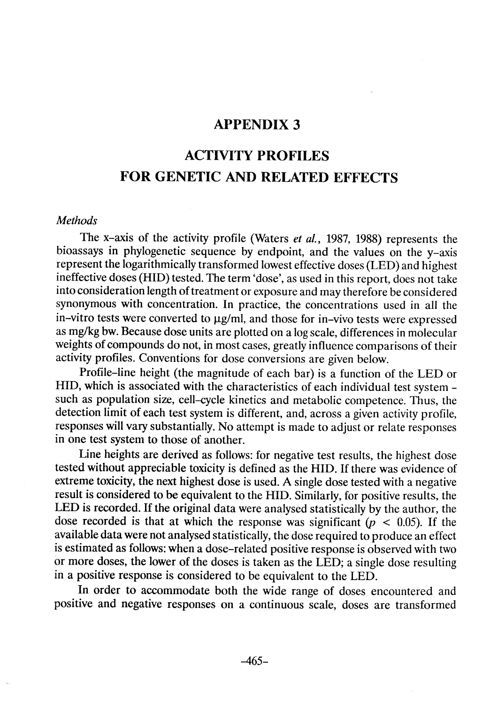# ACTIVTY PROFILES FOR GENETIC AND RELATED EFFECTS

#### **Methods**

The x-axis of the activity profile (Waters et al., 1987, 1988) represents the bioassays in phylogenetic sequence by end point, and the values on the y-axis represent the logarithmically transformed lowest effective doses (LED) and highest ineffective doses (HID) tested. The term 'dose', as used in this report, does not take into consideration length of treatment or exposure and may therefore be considered synonymous with concentration. ln practice, the concentrations used in aH the in-vitro tests were converted to  $\mu$ g/ml, and those for in-vivo tests were expressed as mg/kg bw. Because dose units are plotted on a log scale, differences in molecular weights of compounds do not, in most cases, greatly influence comparisons of their activity profiles. Conventions for dose conversions are given below.

Profile-line height (the magnitude of each bar) is a function of the LED or HID, which is associated with the characteristics of each individual test system such as population size, cell-cycle kinetics and metabolic competence. Thus, the detection limit of each test system is different, and, across a given activity profile, responses will vary substantially. No attempt is made to adjust or relate responses in one test system to those of another.

Line heights are derived as follows: for negative test results, the highest dose tested without appreciable toxicity is defined as the HID. If there was evidence of extreme toxicity, the next highest dose is used. A single dose tested with a negative result is considered to be equivalent to the HID. Similarly, for positive results, the LED is recorded. If the original data were analysed statistically by the author, the dose recorded is that at which the response was significant ( $p < 0.05$ ). If the available data were not analysed statistically, the dose required to produce an effect is estimated as follows: when a dose-related positive response is observed with two or more doses, the lower of the doses is taken as the LED; a single dose resulting in a positive response is considered ta be equivalent to the LED.

ln order to accommodate both the wide range of doses encountered and positive and negative responses on a continuous scale, doses are transformed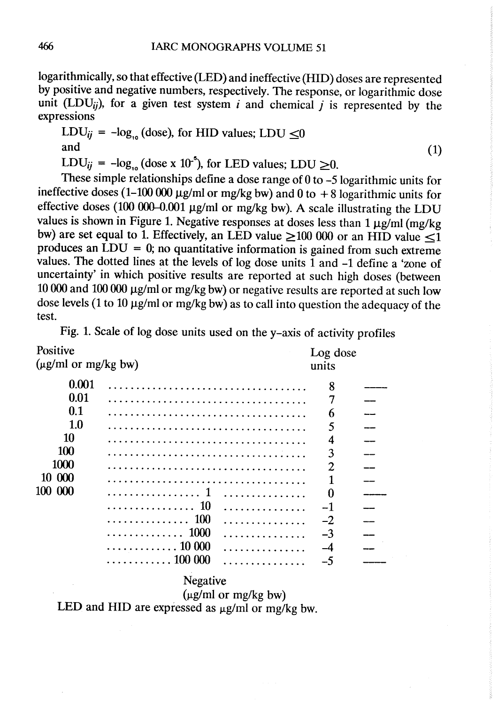logarithmically, so that effective (LED) and ineffective (HID) doses are represented by positive and negative numbers, respectively. The response, or logarithmic dose unit (LDU<sub>ij</sub>), for a given test system i and chemical j is represented by the expressions

$$
\text{LDU}_{ij} = -\log_{10} \text{(dose)}, \text{ for HID values; LDU} \le 0
$$
\n
$$
\text{LDU}_{ij} = -\log_{10} \text{(dose x 10}^{-5}), \text{ for LED values; LDU} \ge 0. \tag{1}
$$
\n
$$
\text{LDU}_{ij} = -\log_{10} \text{(dose x 10}^{-5}), \text{ for LED values; LDU} \ge 0.
$$

These simple relationships define a dose range of 0 to -5 logarithmic units for ineffective doses (1-100 000  $\mu$ g/ml or mg/kg bw) and 0 to +8 logarithmic units for effective doses (100 000-0.001  $\mu$ g/ml or mg/kg bw). A scale illustrating the LDU values is shown in Figure 1. Negative responses at doses less than  $1 \mu g/ml$  (mg/kg bw) are set equal to 1. Effectively, an LED value  $>100 000$  or an HID value  $<$ 1 produces an  $\overline{LDU} = 0$ ; no quantitative information is gained from such extreme values. The dotted lines at the levels of log dose units  $\tilde{1}$  and  $-1$  define a 'zone of uncertainty' in which positive results are reported at such high doses (between 10 000 and 100 000  $\mu$ g/ml or mg/kg bw) or negative results are reported at such low dose levels (1 to 10  $\mu$ g/ml or mg/kg bw) as to call into question the adequacy of the test.

Fig. 1. Scale of log dose units used on the y-axis of activity profiles

| Positive                                  |                                        | Log dose |  |
|-------------------------------------------|----------------------------------------|----------|--|
| $(\mu g/ml \text{ or } mg/kg \text{ bw})$ | units                                  |          |  |
| 0.001                                     |                                        | 8        |  |
| 0.01                                      |                                        |          |  |
| 0.1                                       |                                        | 6        |  |
| 1.0                                       |                                        | 5        |  |
| 10                                        |                                        | 4        |  |
| 100                                       |                                        | 3        |  |
| 1000                                      |                                        | 2        |  |
| 10 000                                    |                                        | 1        |  |
| 100 000                                   | $\mathbf{1}$                           | 0        |  |
|                                           | -10<br>. <i>.</i> .                    | $-1$     |  |
|                                           | <b>100</b>                             | $-2$     |  |
|                                           | . 1000                                 | $-3$     |  |
|                                           | . 10 000                               | -4       |  |
|                                           | $\cdots \cdots \cdots \cdots 100\ 000$ | $-5$     |  |

### Negative

( $\mu$ g/ml or mg/kg bw)

LED and HID are expressed as  $\mu$ g/ml or mg/kg bw.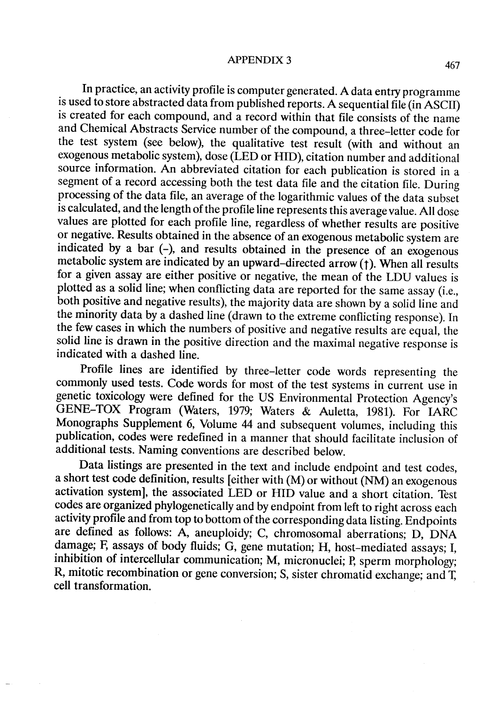### APPENDIX 3 467

ln practice, an activity profile is computer generated. A data entry programme is used to store abstracted data from published reports. A sequential file (in ASCII) is created for each compound, and a record within that file consists of the name and Chemical Abstracts Service number of the compound, a three-letter code for the test system (see below), the qualitative test result (with and without an exogenous metabolic system), dose (LED or HID), citation number and additional source information. An abbreviated citation for each publication is stored in a segment of a record accessing both the test data file and the citation file. During processing of the data file, an average of the logarithmic values of the data subset is calculated, and the length of the profile line represents this average value. AlI dose values are plotted for each profile line, regardless of whether results are positive or negative. Results obtained in the absence of an exogenous metabolic system are indicated by a bar (-), and results obtained in the presence of an exogenous metabolic system are indicated by an upward-directed arrow (t). When all results for a given assay are either positive or negative, the mean of the LDU values is plotted as a solid line; when conflicting data are reported for the same assay (i.e., both positive and negative results), the majority data are shown by a solid line and the minority data by a dashed line (drawn to the extreme conflicting response). In the few cases in which the numbers of positive and negative results are equal, the solid line is drawn in the positive direction and the maximal negative response is indicated with a dashed line.

Profile lines are identified by three-Ietter code words representing the commonly used tests. Code words for most of the test systems in current use in genetic toxicology were defined for the US Environmental Protection Agency's GENE-TOX Program (Waters, 1979; Waters & Auletta, 1981). For LARC Monographs Supplement 6, Volume 44 and subsequent volumes, including this publication, codes were redefined in a manner that should facilitate inclusion of additional tests. Naming conventions are described below.

Data listings are presented in the text and include endpoint and test codes, a short test code definition, results (either with (M) or without (NM) an exogenous activation system), the associated LED or HID value and a short citation. Test codes are organized phylogenetically and by endpoint from left to right across each activity profile and from top to bottom of the corresponding data listing. Endpoints are defined as follows: A, aneuploidy; C, chromosomal aberrations; D, DNA damage; F, assays of body fluids; G, gene mutation; H, host-mediated assays; I, inhibition of intercellular communication; M, micronuclei; P, sperm morphology; R, mitotic recombination or gene conversion; S, sister chromatid exchange; and T, cell transformation.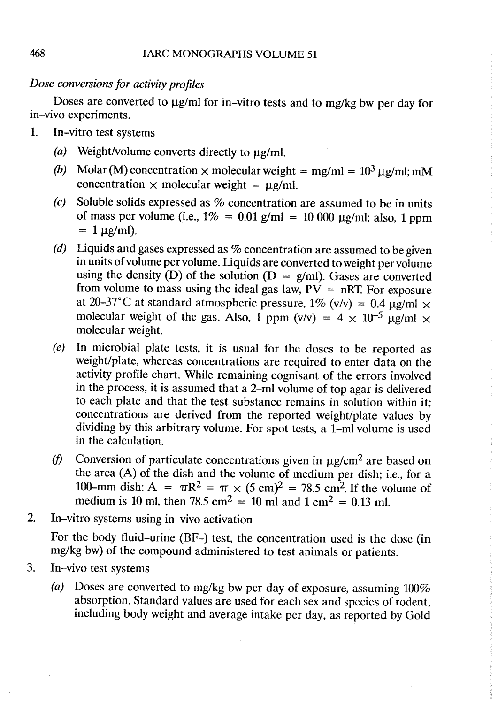#### Dose conversions for activity profiles

Doses are converted to  $\mu$ g/ml for in-vitro tests and to mg/kg bw per day for in-vivo experiments.

- 1. ln-vitro test systems
	- (a) Weight/volume converts directly to  $\mu$ g/ml.
	- (b) Molar (M) concentration x molecular weight = mg/ml =  $10^3 \mu$ g/ml; mM concentration  $\times$  molecular weight =  $\mu$ g/ml.
	- (c) Soluble solids expressed as  $%$  concentration are assumed to be in units of mass per volume (i.e.,  $1\% = 0.01$  g/ml = 10 000  $\mu$ g/ml; also, 1 ppm  $= 1 \mu g/ml$ ).
	- (d) Liquids and gases expressed as  $%$  concentration are assumed to be given in units ofvolume pervolume. Liquids are converted toweight pervolume using the density (D) of the solution ( $D = g/ml$ ). Gases are converted from volume to mass using the ideal gas law,  $PV = nRT$ . For exposure at 20-37°C at standard atmospheric pressure,  $1\%$  (v/v) = 0.4  $\mu$ g/ml  $\times$ molecular weight of the gas. Also, 1 ppm  $(v/v) = 4 \times 10^{-5}$  Hg/ml  $\times$ molecular weight.
	- (e) ln microbial plate tests, it is usual for the doses to be reported as weight/plate, whereas concentrations are required to enter data on the activity profile chart. While remaining cognisant of the errors involved in the process, it is assumed that a 2-ml volume of top agar is delivered to each plate and that the test substance remains in solution within it; concentrations are derived from the reported weight/plate values by dividing by this arbitrary volume. For spot tests, a I-ml volume is used in the ca1culation.
	- (f) Conversion of particulate concentrations given in  $\mu$ g/cm<sup>2</sup> are based on the area (A) of the dish and the volume of medium per dish; i.e., for a 100-mm dish: A =  $\pi R^2 = \pi \times (5 \text{ cm})^2 = 78.5 \text{ cm}^2$ . If the volume of medium is 10 ml, then 78.5 cm<sup>2</sup> = 10 ml and 1 cm<sup>2</sup> = 0.13 ml.
- 2. ln-vitro systems using in-vivo activation

For the body fluid-urine (BF-) test, the concentration used is the dose (in mg/kg bw) of the compound administered to test animals or patients.

- 3. ln-vivo test systems
	- (a) Doses are converted to mg/kg bw per day of exposure, assuming  $100\%$ absorption. Standard values are used for each sex and species of rodent, including body weight and average intake per day, as reported by Gold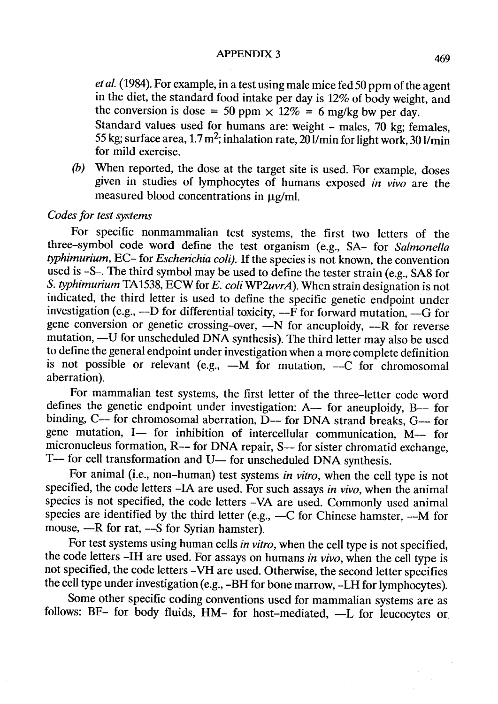### APPENDIX 3 469

et al. (1984). For example, in a test using male mice fed 50 ppm of the agent in the diet, the standard food intake per day is 12% of body weight, and the conversion is dose = 50 ppm  $\times$  12% = 6 mg/kg bw per day. Standard values used for humans are: weight - males, 70 kg; females, 55 kg; surface area,  $1.7 \text{ m}^2$ ; inhalation rate,  $20$  I/min for light work,  $30$  I/min

(b) When reported, the dose at the target site is used. For example, doses given in studies of lymphocytes of humans exposed in vivo are the measured blood concentrations in  $\mu$ g/ml.

#### Codes for test systems

for mild exercise.

For specific nonmammalian test systems, the first two letters of the three-symbol code word define the test organism (e.g., SA- for Salmonella tyhimurium, EC- for Escherichia coli). If the species is not known, the convention used is -S-. The third symbol may be used to define the tester strain (e.g., SA8 for S. tyhimurium TA1538, ECW for E. coli WP2uvrA). When strain designation is not indicated, the third letter is used to define the specific genetic endpoint under investigation (e.g.,  $-D$  for differential toxicity,  $-F$  for forward mutation,  $-G$  for gene conversion or genetic crossing-over,  $-N$  for aneuploidy,  $-R$  for reverse mutation,  $-U$  for unscheduled  $DN\overline{A}$  synthesis). The third letter may also be used to define the general endpoint under investigation when a more complete definition is not possible or relevant (e.g.,  $-M$  for mutation,  $-C$  for chromosomal aberration).

For mammalian test systems, the first letter of the three-letter code word defines the genetic endpoint under investigation: A- for aneuploidy, B- for binding, C— for chromosomal aberration,  $\bar{D}$ — for DNA strand breaks, G— for gene mutation, I- for inhibition of intercellular communication, M- for micronucleus formation, R- for DNA repair, S- for sister chromatid exchange, T-- for cell transformation and U- for unscheduled DNA synthesis.

For animal (i.e., non-human) test systems in vitro, when the cell type is not specified, the code letters -IA are used. For such assays in vivo, when the animal species is not specified, the code letters -VA are used. Commonly used animal species are identified by the third letter (e.g.,  $-C$  for Chinese hamster,  $-M$  for mouse,  $-R$  for rat,  $-S$  for Syrian hamster).

For test systems using human cells in vitro, when the cell type is not specified, the code letters -IH are used. For assays on humans in vivo, when the cell type is not specified, the code letters - VH are used. Otherwise, the second letter specifies the cell type under investigation (e.g., -BH for bone marrow, -LH for lymphocytes).

Some other specific coding conventions used for mammalian systems are as follows: BF- for body fluids, HM- for host-mediated, --L for leucocytes or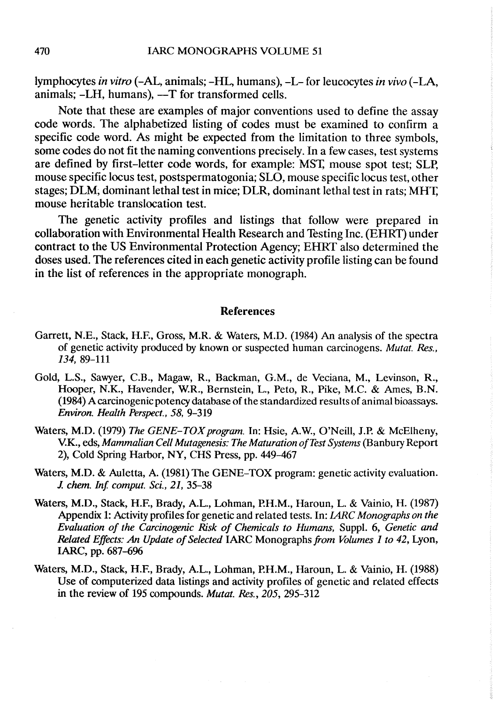lymphocytes in vitro (-AL, animaIs; -HL, humans), -L- for leucocytes in vivo (-LA, animals;  $-LH$ , humans),  $-T$  for transformed cells.

Note that these are examples of major conventions used to define the assay code words. The alphabetized listing of codes must be examined to confirm a specific code word. As might be expected from the limitation to three symbols, some codes do not fit the naming conventions precisely. ln a few cases, test systems are defined by first-letter code words, for example: MST, mouse spot test; SLP, mouse specific locus test, postspermatogonia; SLO, mouse specific locus test, other stages; DLM, dominant lethal test in mice; DLR, dominant lethal test in rats; MHT, mouse heritable translocation test.

The genetic activity profiles and listings that follow were prepared in collaboration with Environmental Health Research and Testing Inc. (EHRT) under contract to the US Environmental Protection Agency; EHRT also determined the doses used. The references cited in each genetic activity profile listing can be found in the list of references in the appropriate monograph.

#### References

- Garrett, N.E., Stack, H.E, Gross, M.R. & Waters, M.D. (1984) An analysis of the spectra of genetic activity produced by known or suspected human carcinogens. Mutat. Res., 134, 89-111
- Gold, L.S., Sawyer, C.B., Magaw, R., Backman, G.M., de Veciana, M., Levinson, R., Hooper, N.K., Havender, W.R., Bernstein, L., Peto, R., Pike, M.C. & Ames, B.N. (1984) A carcinogenic potency database of the standardized results of animal bioassays. Environ. Health Perspect., 58, 9-319
- Waters, M.D. (1979) The GENE-TOX program. In: Hsie, A.W., O'Neill, J.P. & McElheny, V.K., eds, Mammalian Cell Mutagenesis: The Maturation of Test Systems (Banbury Report 2), Cold Spring Harbor, NY, CHS Press, pp. 449-467
- Waters, M.D. & Auletta, A. (1981) The GENE-TOX program: genetic activity evaluation. J. chem. Inf. comput. Sci., 21, 35-38
- Waters, M.D., Stack, H.F., Brady, A.L., Lohman, P.H.M., Haroun, L. & Vainio, H. (1987) Appendix 1: Activity profiles for genetic and related tests. In: LARC Monographs on the Evaluation of the Carcinogenic Risk of Chemicals to Humans, Suppl. 6, Genetic and Related Effects: An Update of Selected IARC Monographs from Volumes 1 to 42, Lyon, IARC, pp. 687-696
- Waters, M.D., Stack, H.F., Brady, A.L., Lohman, P.H.M., Haroun, L. & Vainio, H. (1988) Use of computeried data listings and activity profiles of genetic and related effects in the reviewof 195 compounds. Mutat. Res., 205, 295-312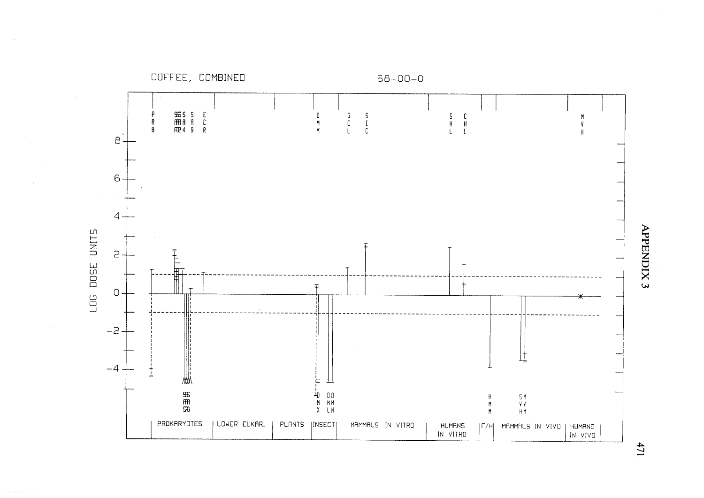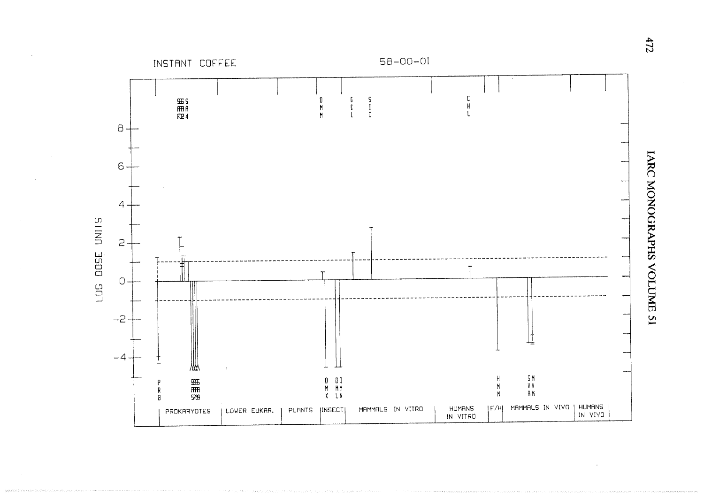

 $472$ 

IARC MONOGRAPHS VOLUME 51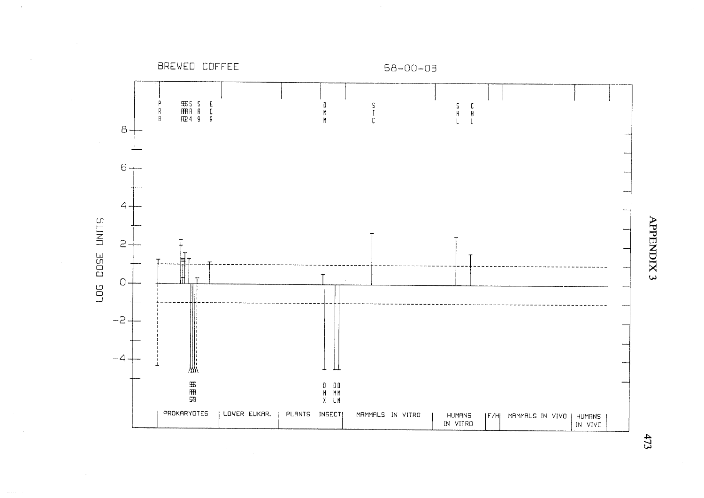

 $\sim$ 

APPENDIX 3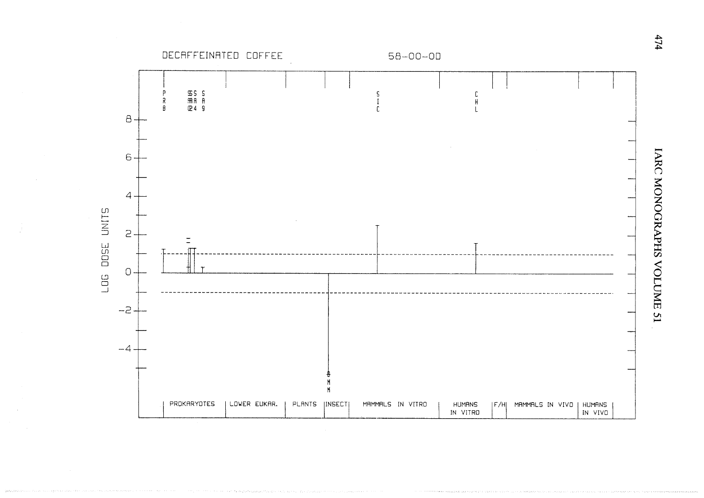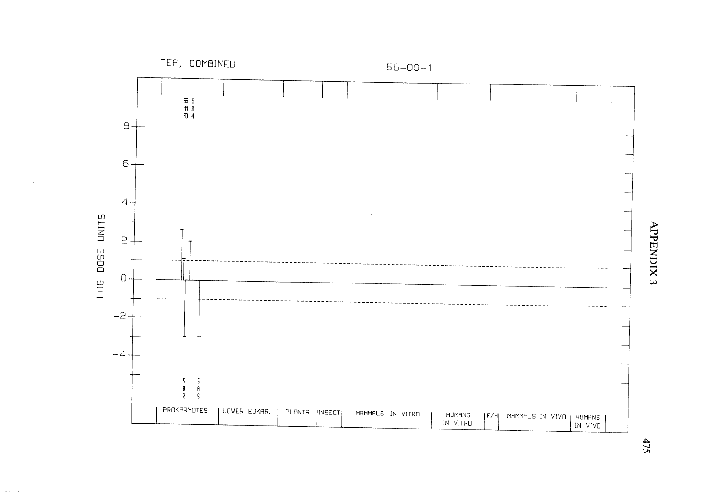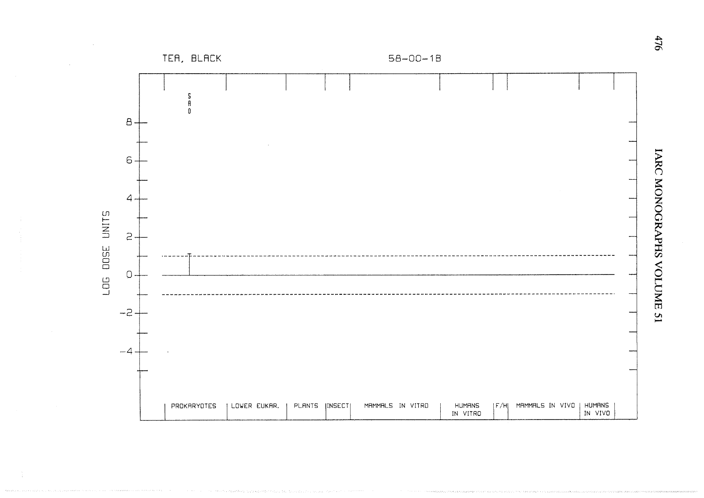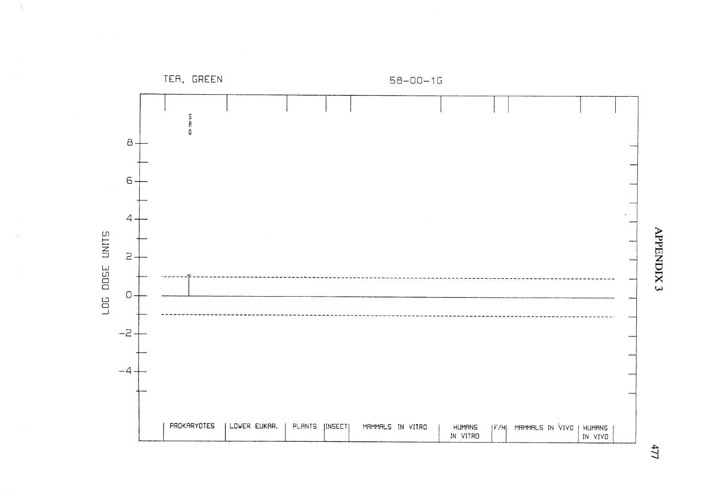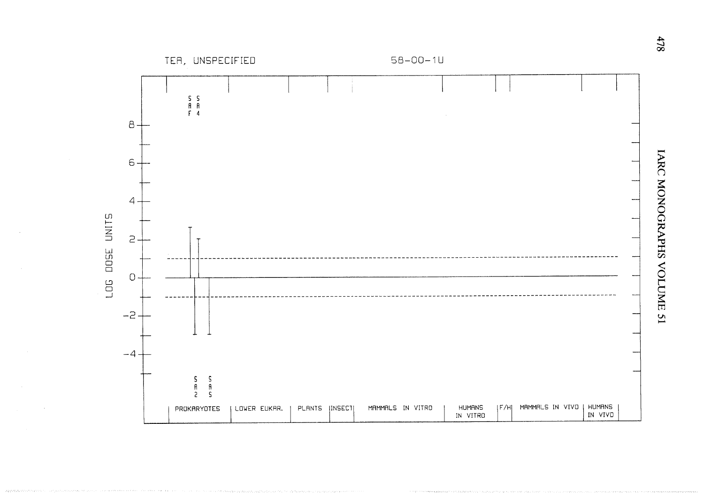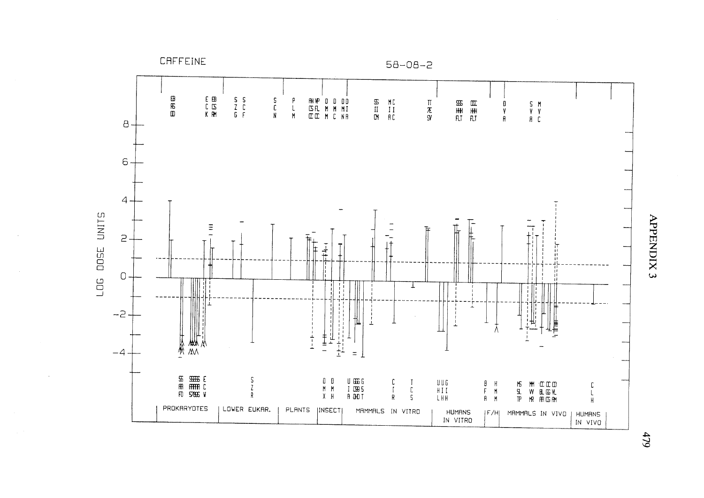CAFFEINE

 $58 - 08 - 2$ 

 $\sim 10^{-1}$ 



APPENDIX 3

 $62t$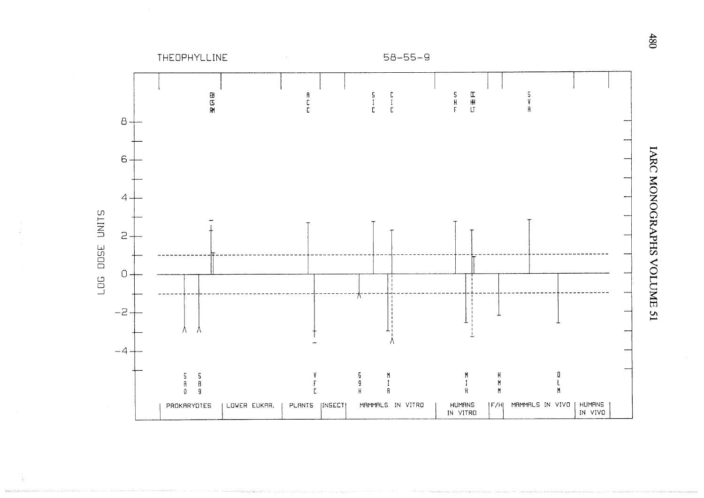

 $\sim$ 

÷

IARC MONOGRAPHS VOLUME 51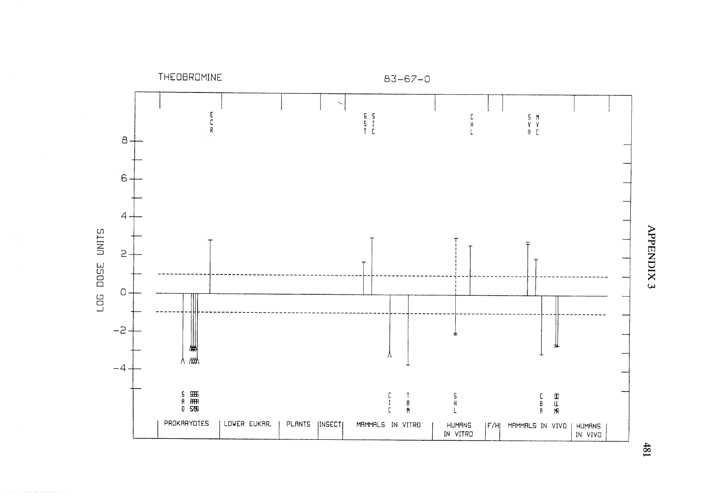